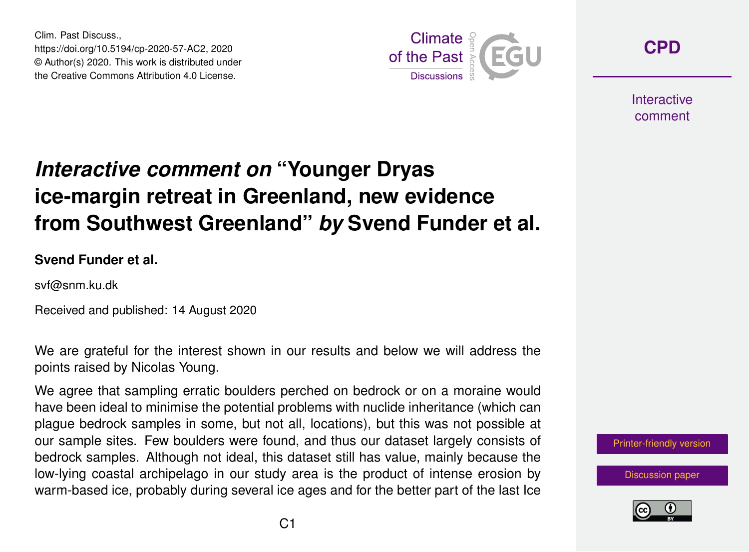Clim. Past Discuss., https://doi.org/10.5194/cp-2020-57-AC2, 2020 © Author(s) 2020. This work is distributed under the Creative Commons Attribution 4.0 License.



**[CPD](https://cp.copernicus.org/preprints/)**

**Interactive** comment

## *Interactive comment on* **"Younger Dryas ice-margin retreat in Greenland, new evidence from Southwest Greenland"** *by* **Svend Funder et al.**

**Svend Funder et al.**

svf@snm.ku.dk

Received and published: 14 August 2020

We are grateful for the interest shown in our results and below we will address the points raised by Nicolas Young.

We agree that sampling erratic boulders perched on bedrock or on a moraine would have been ideal to minimise the potential problems with nuclide inheritance (which can plague bedrock samples in some, but not all, locations), but this was not possible at our sample sites. Few boulders were found, and thus our dataset largely consists of bedrock samples. Although not ideal, this dataset still has value, mainly because the low-lying coastal archipelago in our study area is the product of intense erosion by warm-based ice, probably during several ice ages and for the better part of the last Ice

[Printer-friendly version](https://cp.copernicus.org/preprints/cp-2020-57/cp-2020-57-AC2-print.pdf)

[Discussion paper](https://cp.copernicus.org/preprints/cp-2020-57)

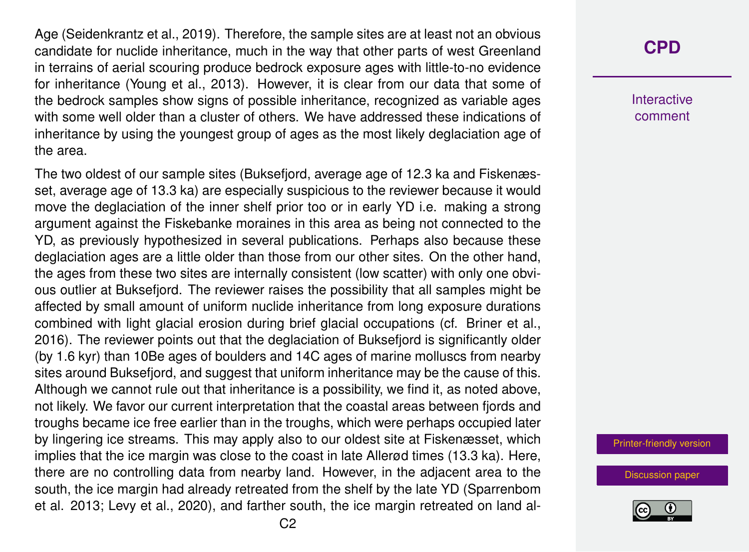Age (Seidenkrantz et al., 2019). Therefore, the sample sites are at least not an obvious candidate for nuclide inheritance, much in the way that other parts of west Greenland in terrains of aerial scouring produce bedrock exposure ages with little-to-no evidence for inheritance (Young et al., 2013). However, it is clear from our data that some of the bedrock samples show signs of possible inheritance, recognized as variable ages with some well older than a cluster of others. We have addressed these indications of inheritance by using the youngest group of ages as the most likely deglaciation age of the area.

The two oldest of our sample sites (Buksefjord, average age of 12.3 ka and Fiskenæsset, average age of 13.3 ka) are especially suspicious to the reviewer because it would move the deglaciation of the inner shelf prior too or in early YD i.e. making a strong argument against the Fiskebanke moraines in this area as being not connected to the YD, as previously hypothesized in several publications. Perhaps also because these deglaciation ages are a little older than those from our other sites. On the other hand, the ages from these two sites are internally consistent (low scatter) with only one obvious outlier at Buksefjord. The reviewer raises the possibility that all samples might be affected by small amount of uniform nuclide inheritance from long exposure durations combined with light glacial erosion during brief glacial occupations (cf. Briner et al., 2016). The reviewer points out that the deglaciation of Buksefjord is significantly older (by 1.6 kyr) than 10Be ages of boulders and 14C ages of marine molluscs from nearby sites around Buksefjord, and suggest that uniform inheritance may be the cause of this. Although we cannot rule out that inheritance is a possibility, we find it, as noted above, not likely. We favor our current interpretation that the coastal areas between fjords and troughs became ice free earlier than in the troughs, which were perhaps occupied later by lingering ice streams. This may apply also to our oldest site at Fiskenæsset, which implies that the ice margin was close to the coast in late Allerød times (13.3 ka). Here, there are no controlling data from nearby land. However, in the adjacent area to the south, the ice margin had already retreated from the shelf by the late YD (Sparrenbom et al. 2013; Levy et al., 2020), and farther south, the ice margin retreated on land al-

## **[CPD](https://cp.copernicus.org/preprints/)**

**Interactive** comment

[Printer-friendly version](https://cp.copernicus.org/preprints/cp-2020-57/cp-2020-57-AC2-print.pdf)

[Discussion paper](https://cp.copernicus.org/preprints/cp-2020-57)